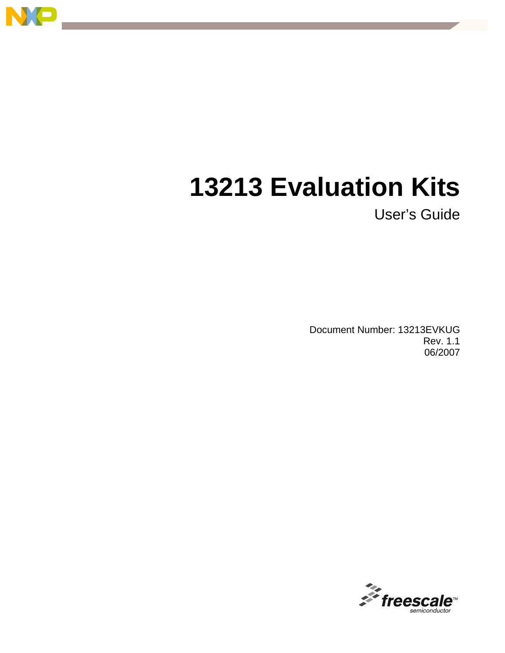

# **13213 Evaluation Kits**

User's Guide

Document Number: 13213EVKUG Rev. 1.1 06/2007

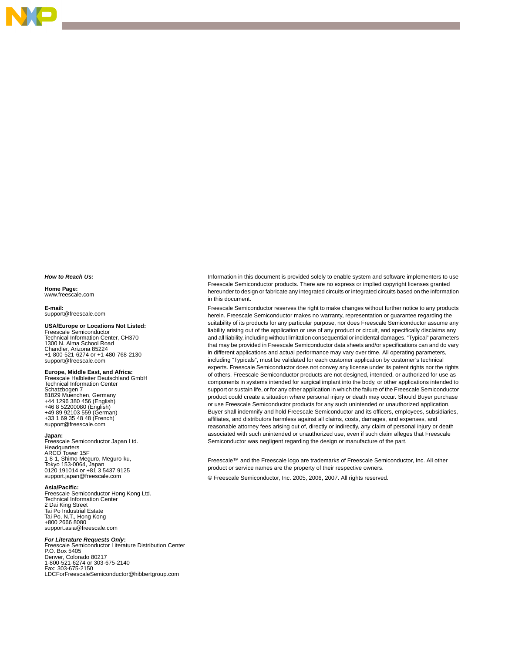

#### *How to Reach Us:*

**Home Page:** www.freescale.com

**E-mail:** support@freescale.com

#### **USA/Europe or Locations Not Listed:**

Freescale Semiconductor Technical Information Center, CH370 1300 N. Alma School Road Chandler, Arizona 85224 +1-800-521-6274 or +1-480-768-2130 support@freescale.com

#### **Europe, Middle East, and Africa:**

Freescale Halbleiter Deutschland GmbH Technical Information Center Schatzbogen 7 81829 Muenchen, Germany +44 1296 380 456 (English) +46 8 52200080 (English) +49 89 92103 559 (German) +33 1 69 35 48 48 (French) support@freescale.com

#### **Japan:**

Freescale Semiconductor Japan Ltd. Headquarters ARCO Tower 15F 1-8-1, Shimo-Meguro, Meguro-ku, Tokyo 153-0064, Japan 0120 191014 or +81 3 5437 9125 support.japan@freescale.com

#### **Asia/Pacific:**

Freescale Semiconductor Hong Kong Ltd. Technical Information Center 2 Dai King Street Tai Po Industrial Estate Tai Po, N.T., Hong Kong +800 2666 8080 support.asia@freescale.com

*For Literature Requests Only***:** Freescale Semiconductor Literature Distribution Center P.O. Box 5405 Denver, Colorado 80217 1-800-521-6274 or 303-675-2140 Fax: 303-675-2150 LDCForFreescaleSemiconductor@hibbertgroup.com

Information in this document is provided solely to enable system and software implementers to use Freescale Semiconductor products. There are no express or implied copyright licenses granted hereunder to design or fabricate any integrated circuits or integrated circuits based on the information in this document.

Freescale Semiconductor reserves the right to make changes without further notice to any products herein. Freescale Semiconductor makes no warranty, representation or guarantee regarding the suitability of its products for any particular purpose, nor does Freescale Semiconductor assume any liability arising out of the application or use of any product or circuit, and specifically disclaims any and all liability, including without limitation consequential or incidental damages. "Typical" parameters that may be provided in Freescale Semiconductor data sheets and/or specifications can and do vary in different applications and actual performance may vary over time. All operating parameters, including "Typicals", must be validated for each customer application by customer's technical experts. Freescale Semiconductor does not convey any license under its patent rights nor the rights of others. Freescale Semiconductor products are not designed, intended, or authorized for use as components in systems intended for surgical implant into the body, or other applications intended to support or sustain life, or for any other application in which the failure of the Freescale Semiconductor product could create a situation where personal injury or death may occur. Should Buyer purchase or use Freescale Semiconductor products for any such unintended or unauthorized application, Buyer shall indemnify and hold Freescale Semiconductor and its officers, employees, subsidiaries, affiliates, and distributors harmless against all claims, costs, damages, and expenses, and reasonable attorney fees arising out of, directly or indirectly, any claim of personal injury or death associated with such unintended or unauthorized use, even if such claim alleges that Freescale Semiconductor was negligent regarding the design or manufacture of the part.

Freescale™ and the Freescale logo are trademarks of Freescale Semiconductor, Inc. All other product or service names are the property of their respective owners.

© Freescale Semiconductor, Inc. 2005, 2006, 2007. All rights reserved.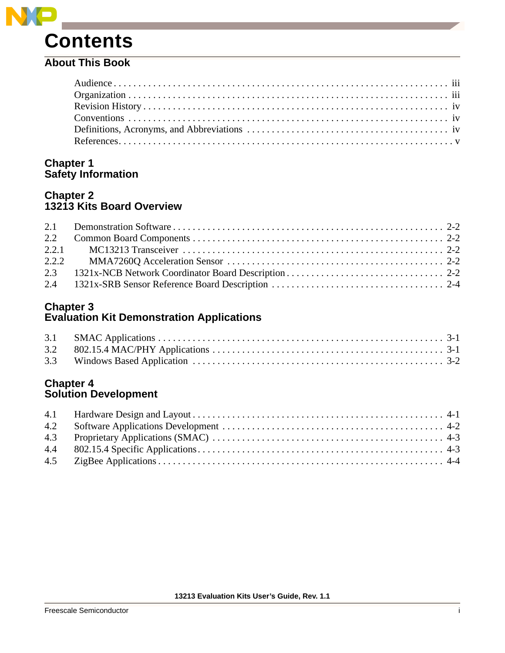## **Contents**

NP

### **[About This Book](#page-4-0)**

#### **Chapter 1 [Safety Information](#page-8-0)**

#### **Chapter 2 [13213 Kits Board Overview](#page-10-0)**

### **Chapter 3 [Evaluation Kit Demonstration Applications](#page-16-0)**

#### **Chapter 4 [Solution Development](#page-18-0)**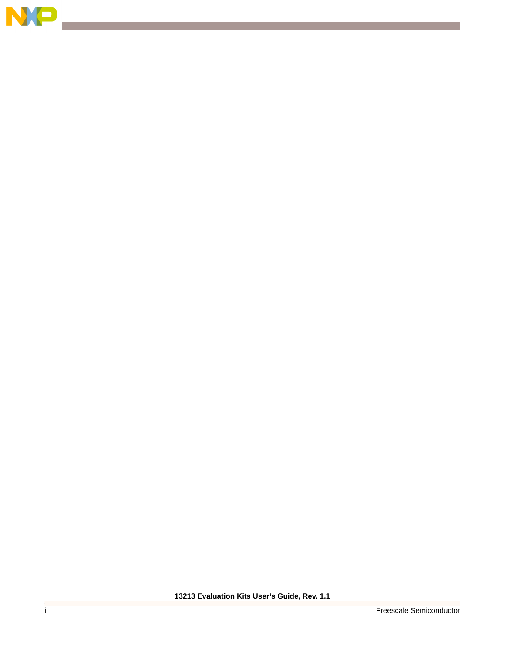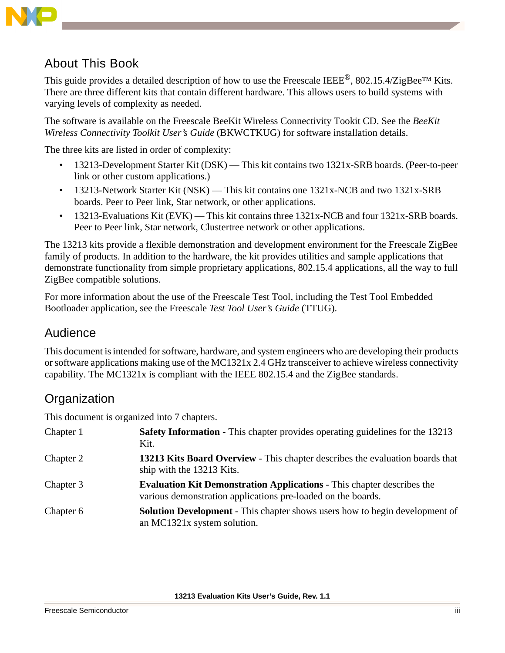

### <span id="page-4-0"></span>About This Book

This guide provides a detailed description of how to use the Freescale IEEE<sup>®</sup>, 802.15.4/ZigBee™ Kits. There are three different kits that contain different hardware. This allows users to build systems with varying levels of complexity as needed.

The software is available on the Freescale BeeKit Wireless Connectivity Tookit CD. See the *BeeKit Wireless Connectivity Toolkit User's Guide* (BKWCTKUG) for software installation details.

The three kits are listed in order of complexity:

- 13213-Development Starter Kit (DSK) This kit contains two 1321x-SRB boards. (Peer-to-peer link or other custom applications.)
- 13213-Network Starter Kit (NSK) This kit contains one 1321x-NCB and two 1321x-SRB boards. Peer to Peer link, Star network, or other applications.
- 13213-Evaluations Kit (EVK) This kit contains three 1321x-NCB and four 1321x-SRB boards. Peer to Peer link, Star network, Clustertree network or other applications.

The 13213 kits provide a flexible demonstration and development environment for the Freescale ZigBee family of products. In addition to the hardware, the kit provides utilities and sample applications that demonstrate functionality from simple proprietary applications, 802.15.4 applications, all the way to full ZigBee compatible solutions.

For more information about the use of the Freescale Test Tool, including the Test Tool Embedded Bootloader application, see the Freescale *Test Tool User's Guide* (TTUG).

### <span id="page-4-1"></span>Audience

This document is intended for software, hardware, and system engineers who are developing their products or software applications making use of the MC1321x 2.4 GHz transceiver to achieve wireless connectivity capability. The MC1321x is compliant with the IEEE 802.15.4 and the ZigBee standards.

### <span id="page-4-2"></span>**Organization**

This document is organized into 7 chapters.

| Chapter 1 | <b>Safety Information</b> - This chapter provides operating guidelines for the 13213<br>Kit.                                                  |
|-----------|-----------------------------------------------------------------------------------------------------------------------------------------------|
| Chapter 2 | 13213 Kits Board Overview - This chapter describes the evaluation boards that<br>ship with the 13213 Kits.                                    |
| Chapter 3 | <b>Evaluation Kit Demonstration Applications - This chapter describes the</b><br>various demonstration applications pre-loaded on the boards. |
| Chapter 6 | <b>Solution Development</b> - This chapter shows users how to begin development of<br>an MC1321x system solution.                             |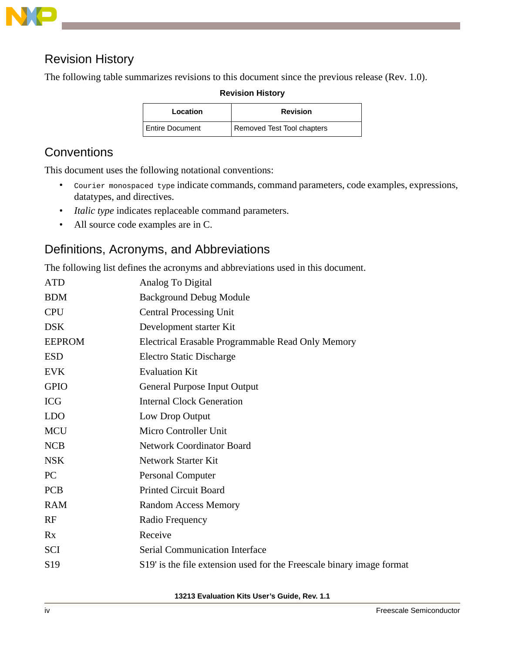

### <span id="page-5-0"></span>Revision History

The following table summarizes revisions to this document since the previous release (Rev. 1.0).

| Location          | <b>Revision</b>            |
|-------------------|----------------------------|
| l Entire Document | Removed Test Tool chapters |

### <span id="page-5-1"></span>**Conventions**

This document uses the following notational conventions:

- Courier monospaced type indicate commands, command parameters, code examples, expressions, datatypes, and directives.
- *Italic type* indicates replaceable command parameters.
- All source code examples are in C.

### <span id="page-5-2"></span>Definitions, Acronyms, and Abbreviations

The following list defines the acronyms and abbreviations used in this document.

| <b>ATD</b>      | Analog To Digital                                                     |
|-----------------|-----------------------------------------------------------------------|
| <b>BDM</b>      | <b>Background Debug Module</b>                                        |
| <b>CPU</b>      | <b>Central Processing Unit</b>                                        |
| <b>DSK</b>      | Development starter Kit                                               |
| <b>EEPROM</b>   | Electrical Erasable Programmable Read Only Memory                     |
| <b>ESD</b>      | <b>Electro Static Discharge</b>                                       |
| <b>EVK</b>      | <b>Evaluation Kit</b>                                                 |
| <b>GPIO</b>     | General Purpose Input Output                                          |
| <b>ICG</b>      | <b>Internal Clock Generation</b>                                      |
| <b>LDO</b>      | Low Drop Output                                                       |
| <b>MCU</b>      | Micro Controller Unit                                                 |
| <b>NCB</b>      | Network Coordinator Board                                             |
| <b>NSK</b>      | Network Starter Kit                                                   |
| <b>PC</b>       | <b>Personal Computer</b>                                              |
| <b>PCB</b>      | <b>Printed Circuit Board</b>                                          |
| <b>RAM</b>      | <b>Random Access Memory</b>                                           |
| RF              | Radio Frequency                                                       |
| Rx              | Receive                                                               |
| <b>SCI</b>      | <b>Serial Communication Interface</b>                                 |
| S <sub>19</sub> | S19' is the file extension used for the Freescale binary image format |
|                 |                                                                       |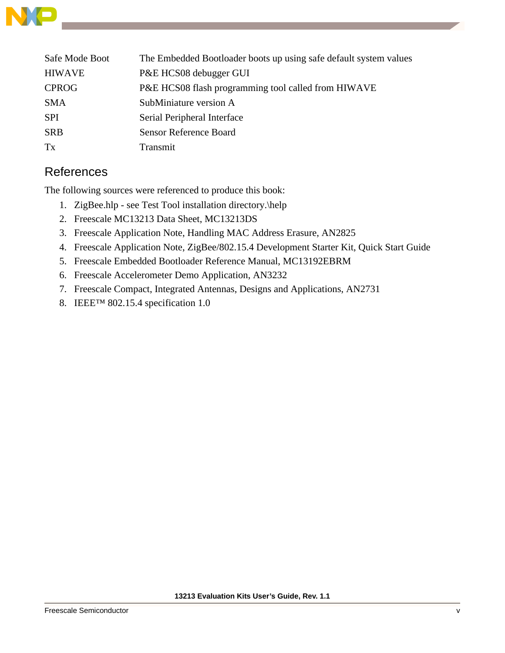

| Safe Mode Boot | The Embedded Bootloader boots up using safe default system values |
|----------------|-------------------------------------------------------------------|
| <b>HIWAVE</b>  | P&E HCS08 debugger GUI                                            |
| <b>CPROG</b>   | P&E HCS08 flash programming tool called from HIWAVE               |
| <b>SMA</b>     | SubMiniature version A                                            |
| <b>SPI</b>     | Serial Peripheral Interface                                       |
| <b>SRB</b>     | <b>Sensor Reference Board</b>                                     |
| Tx             | Transmit                                                          |
|                |                                                                   |

### <span id="page-6-0"></span>References

The following sources were referenced to produce this book:

- 1. ZigBee.hlp see Test Tool installation directory.\help
- 2. Freescale MC13213 Data Sheet, MC13213DS
- 3. Freescale Application Note, Handling MAC Address Erasure, AN2825
- 4. Freescale Application Note, ZigBee/802.15.4 Development Starter Kit, Quick Start Guide
- 5. Freescale Embedded Bootloader Reference Manual, MC13192EBRM
- 6. Freescale Accelerometer Demo Application, AN3232
- 7. Freescale Compact, Integrated Antennas, Designs and Applications, AN2731
- 8. IEEE™ 802.15.4 specification 1.0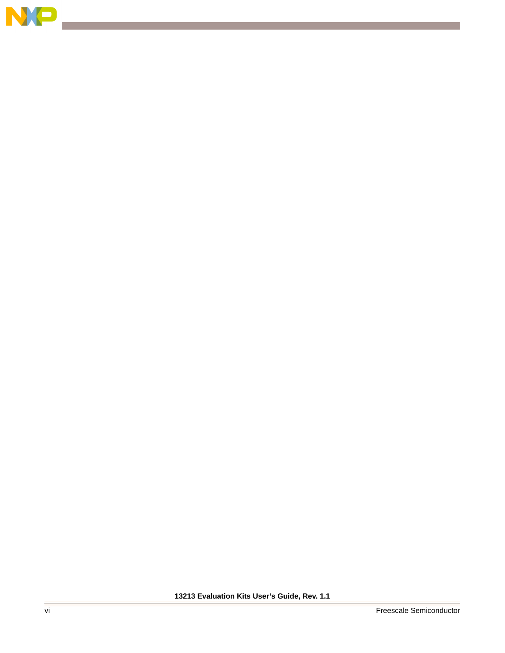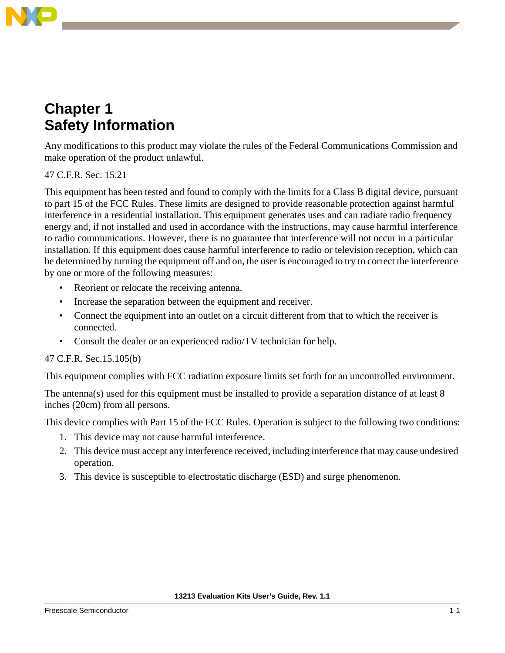

### <span id="page-8-0"></span>**Chapter 1 Safety Information**

Any modifications to this product may violate the rules of the Federal Communications Commission and make operation of the product unlawful.

#### 47 C.F.R. Sec. 15.21

This equipment has been tested and found to comply with the limits for a Class B digital device, pursuant to part 15 of the FCC Rules. These limits are designed to provide reasonable protection against harmful interference in a residential installation. This equipment generates uses and can radiate radio frequency energy and, if not installed and used in accordance with the instructions, may cause harmful interference to radio communications. However, there is no guarantee that interference will not occur in a particular installation. If this equipment does cause harmful interference to radio or television reception, which can be determined by turning the equipment off and on, the user is encouraged to try to correct the interference by one or more of the following measures:

- Reorient or relocate the receiving antenna.
- Increase the separation between the equipment and receiver.
- Connect the equipment into an outlet on a circuit different from that to which the receiver is connected.
- Consult the dealer or an experienced radio/TV technician for help.

#### 47 C.F.R. Sec.15.105(b)

This equipment complies with FCC radiation exposure limits set forth for an uncontrolled environment.

The antenna(s) used for this equipment must be installed to provide a separation distance of at least 8 inches (20cm) from all persons.

This device complies with Part 15 of the FCC Rules. Operation is subject to the following two conditions:

- 1. This device may not cause harmful interference.
- 2. This device must accept any interference received, including interference that may cause undesired operation.
- 3. This device is susceptible to electrostatic discharge (ESD) and surge phenomenon.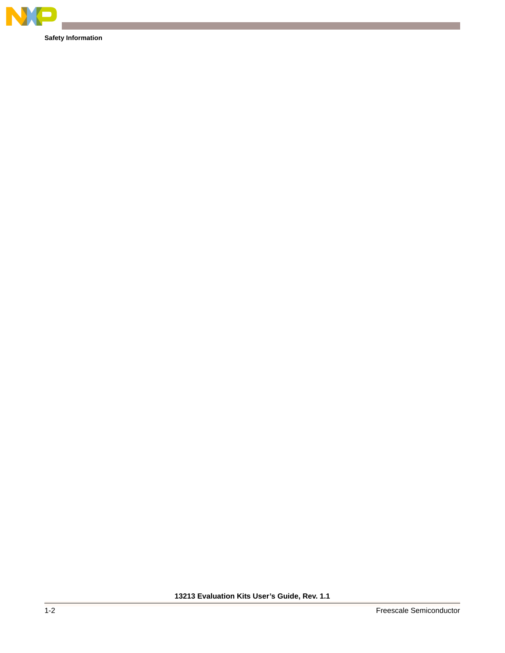

**Safety Information**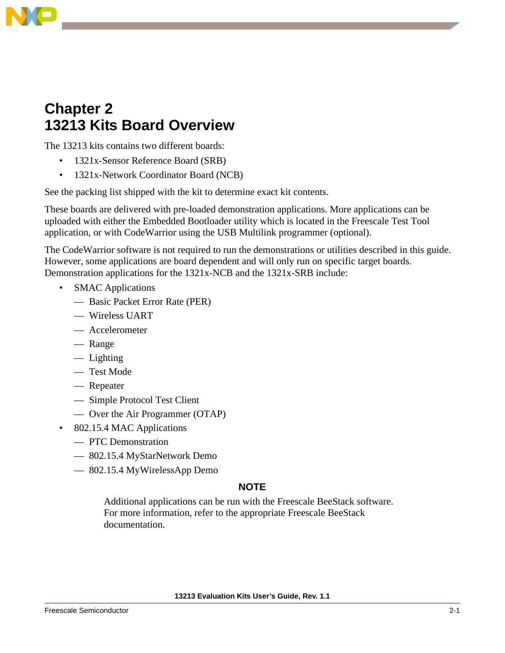

### <span id="page-10-0"></span>**Chapter 2 13213 Kits Board Overview**

The 13213 kits contains two different boards:

- 1321x-Sensor Reference Board (SRB)
- 1321x-Network Coordinator Board (NCB)

See the packing list shipped with the kit to determine exact kit contents.

These boards are delivered with pre-loaded demonstration applications. More applications can be uploaded with either the Embedded Bootloader utility which is located in the Freescale Test Tool application, or with CodeWarrior using the USB Multilink programmer (optional).

The CodeWarrior software is not required to run the demonstrations or utilities described in this guide. However, some applications are board dependent and will only run on specific target boards. Demonstration applications for the 1321x-NCB and the 1321x-SRB include:

- **SMAC** Applications
	- Basic Packet Error Rate (PER)
	- Wireless UART
	- Accelerometer
	- Range
	- Lighting
	- Test Mode
	- Repeater
	- Simple Protocol Test Client
	- Over the Air Programmer (OTAP)
- 802.15.4 MAC Applications
	- PTC Demonstration
	- 802.15.4 MyStarNetwork Demo
	- 802.15.4 MyWirelessApp Demo

#### **NOTE**

Additional applications can be run with the Freescale BeeStack software. For more information, refer to the appropriate Freescale BeeStack documentation.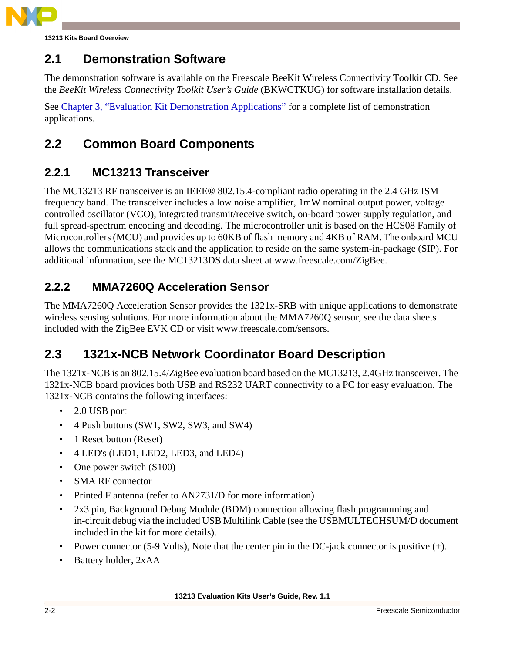

**13213 Kits Board Overview**

### <span id="page-11-0"></span>**2.1 Demonstration Software**

The demonstration software is available on the Freescale BeeKit Wireless Connectivity Toolkit CD. See the *BeeKit Wireless Connectivity Toolkit User's Guide* (BKWCTKUG) for software installation details.

See [Chapter 3, "Evaluation Kit Demonstration Applications"](#page-16-3) for a complete list of demonstration applications.

### <span id="page-11-1"></span>**2.2 Common Board Components**

### <span id="page-11-2"></span>**2.2.1 MC13213 Transceiver**

The MC13213 RF transceiver is an IEEE® 802.15.4-compliant radio operating in the 2.4 GHz ISM frequency band. The transceiver includes a low noise amplifier, 1mW nominal output power, voltage controlled oscillator (VCO), integrated transmit/receive switch, on-board power supply regulation, and full spread-spectrum encoding and decoding. The microcontroller unit is based on the HCS08 Family of Microcontrollers (MCU) and provides up to 60KB of flash memory and 4KB of RAM. The onboard MCU allows the communications stack and the application to reside on the same system-in-package (SIP). For additional information, see the MC13213DS data sheet at www.freescale.com/ZigBee.

### <span id="page-11-3"></span>**2.2.2 MMA7260Q Acceleration Sensor**

The MMA7260Q Acceleration Sensor provides the 1321x-SRB with unique applications to demonstrate wireless sensing solutions. For more information about the MMA7260Q sensor, see the data sheets included with the ZigBee EVK CD or visit www.freescale.com/sensors.

### <span id="page-11-4"></span>**2.3 1321x-NCB Network Coordinator Board Description**

The 1321x-NCB is an 802.15.4/ZigBee evaluation board based on the MC13213, 2.4GHz transceiver. The 1321x-NCB board provides both USB and RS232 UART connectivity to a PC for easy evaluation. The 1321x-NCB contains the following interfaces:

- 2.0 USB port
- 4 Push buttons (SW1, SW2, SW3, and SW4)
- 1 Reset button (Reset)
- 4 LED's (LED1, LED2, LED3, and LED4)
- One power switch (S100)
- SMA RF connector
- Printed F antenna (refer to AN2731/D for more information)
- 2x3 pin, Background Debug Module (BDM) connection allowing flash programming and in-circuit debug via the included USB Multilink Cable (see the USBMULTECHSUM/D document included in the kit for more details).
- Power connector (5-9 Volts), Note that the center pin in the DC-jack connector is positive (+).
- Battery holder, 2xAA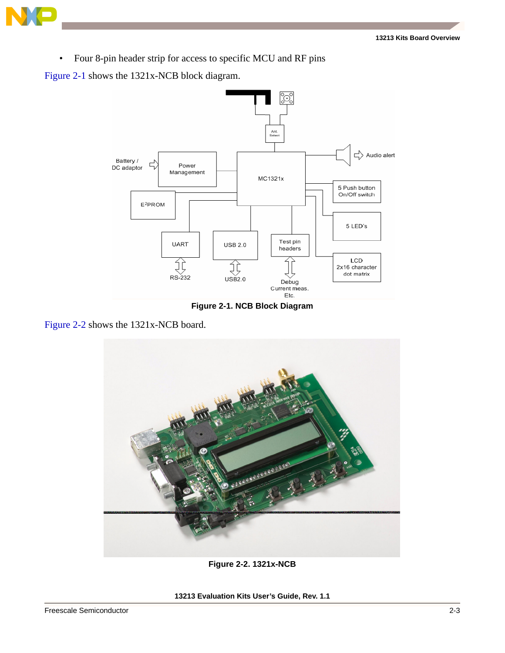

• Four 8-pin header strip for access to specific MCU and RF pins

[Figure 2-1](#page-12-0) shows the 1321x-NCB block diagram.



**Figure 2-1. NCB Block Diagram**

<span id="page-12-1"></span><span id="page-12-0"></span>[Figure 2-2](#page-12-1) shows the 1321x-NCB board.



**Figure 2-2. 1321x-NCB**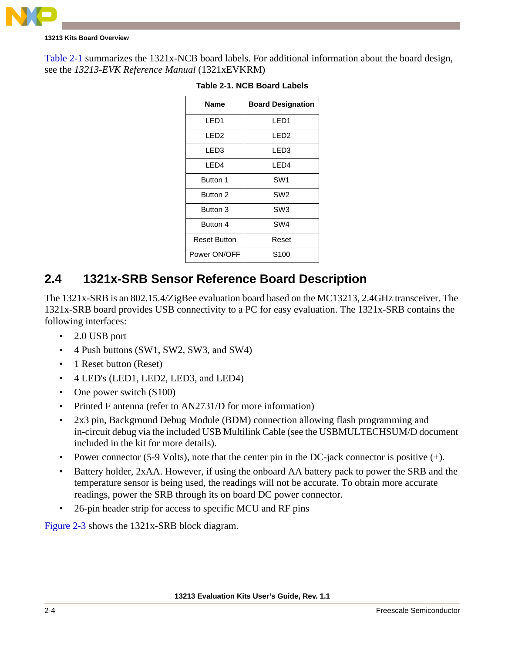

**13213 Kits Board Overview**

<span id="page-13-1"></span>[Table 2-1](#page-13-1) summarizes the 1321x-NCB board labels. For additional information about the board design, see the *13213-EVK Reference Manual* (1321xEVKRM)

| Name                | <b>Board Designation</b> |  |  |
|---------------------|--------------------------|--|--|
| LED <sub>1</sub>    | LED <sub>1</sub>         |  |  |
| LED <sub>2</sub>    | LED2                     |  |  |
| LED3                | LED3                     |  |  |
| LED4                | LED4                     |  |  |
| Button 1            | SW <sub>1</sub>          |  |  |
| Button 2            | SW <sub>2</sub>          |  |  |
| Button 3            | SW3                      |  |  |
| Button 4            | SW <sub>4</sub>          |  |  |
| <b>Reset Button</b> | Reset                    |  |  |
| Power ON/OFF        | S100                     |  |  |

**Table 2-1. NCB Board Labels**

### <span id="page-13-0"></span>**2.4 1321x-SRB Sensor Reference Board Description**

The 1321x-SRB is an 802.15.4/ZigBee evaluation board based on the MC13213, 2.4GHz transceiver. The 1321x-SRB board provides USB connectivity to a PC for easy evaluation. The 1321x-SRB contains the following interfaces:

- 2.0 USB port
- 4 Push buttons (SW1, SW2, SW3, and SW4)
- 1 Reset button (Reset)
- 4 LED's (LED1, LED2, LED3, and LED4)
- One power switch (S100)
- Printed F antenna (refer to AN2731/D for more information)
- 2x3 pin, Background Debug Module (BDM) connection allowing flash programming and in-circuit debug via the included USB Multilink Cable (see the USBMULTECHSUM/D document included in the kit for more details).
- Power connector (5-9 Volts), note that the center pin in the DC-jack connector is positive (+).
- Battery holder, 2xAA. However, if using the onboard AA battery pack to power the SRB and the temperature sensor is being used, the readings will not be accurate. To obtain more accurate readings, power the SRB through its on board DC power connector.
- 26-pin header strip for access to specific MCU and RF pins

[Figure 2-3](#page-14-0) shows the 1321x-SRB block diagram.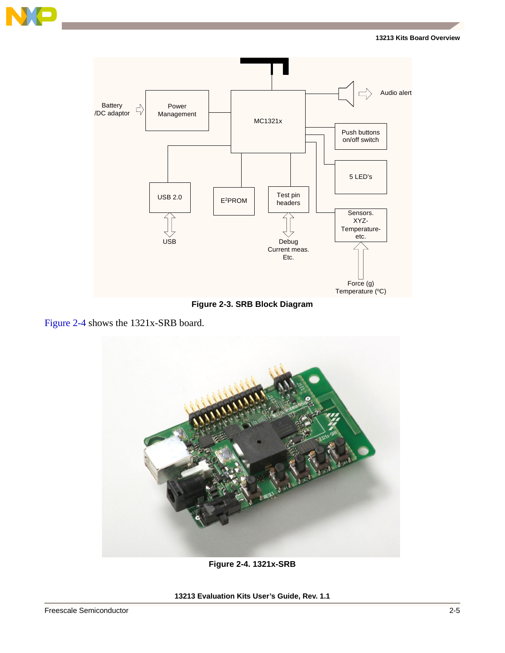





<span id="page-14-0"></span>[Figure 2-4](#page-14-1) shows the 1321x-SRB board.



**Figure 2-4. 1321x-SRB**

#### <span id="page-14-1"></span>**13213 Evaluation Kits User's Guide, Rev. 1.1**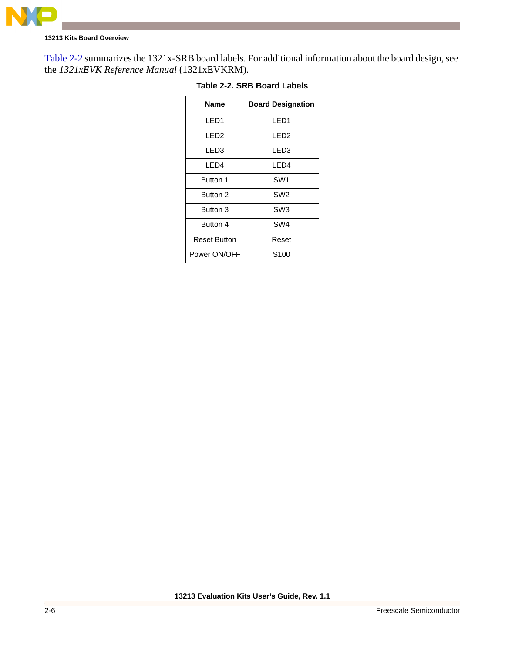

**13213 Kits Board Overview**

<span id="page-15-0"></span>[Table 2-2](#page-15-0) summarizes the 1321x-SRB board labels. For additional information about the board design, see the *1321xEVK Reference Manual* (1321xEVKRM).

| Name                | <b>Board Designation</b> |  |
|---------------------|--------------------------|--|
| LED1                | LED <sub>1</sub>         |  |
| LED <sub>2</sub>    | LED <sub>2</sub>         |  |
| LED3                | LED3                     |  |
| LED4                | LED4                     |  |
| Button 1            | SW <sub>1</sub>          |  |
| Button 2            | SW <sub>2</sub>          |  |
| Button 3            | SW <sub>3</sub>          |  |
| Button 4            | SW <sub>4</sub>          |  |
| <b>Reset Button</b> | Reset                    |  |
| Power ON/OFF        | S <sub>100</sub>         |  |

|  |  |  |  | Table 2-2, SRB Board Labels |
|--|--|--|--|-----------------------------|
|--|--|--|--|-----------------------------|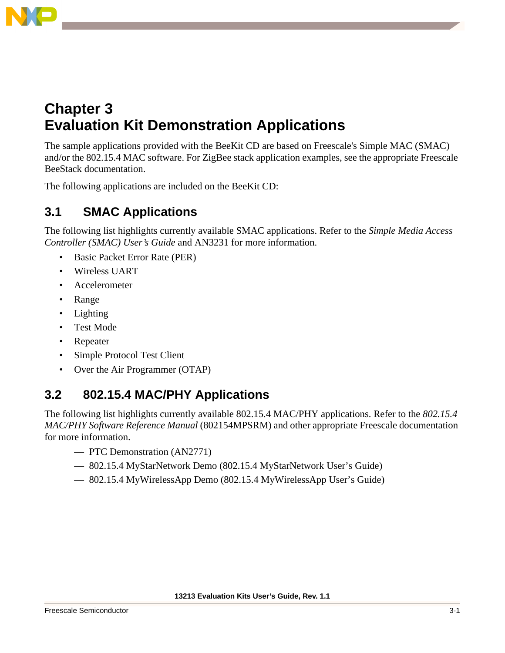

## <span id="page-16-3"></span><span id="page-16-0"></span>**Chapter 3 Evaluation Kit Demonstration Applications**

The sample applications provided with the BeeKit CD are based on Freescale's Simple MAC (SMAC) and/or the 802.15.4 MAC software. For ZigBee stack application examples, see the appropriate Freescale BeeStack documentation.

The following applications are included on the BeeKit CD:

### <span id="page-16-1"></span>**3.1 SMAC Applications**

The following list highlights currently available SMAC applications. Refer to the *Simple Media Access Controller (SMAC) User's Guide* and AN3231 for more information.

- Basic Packet Error Rate (PER)
- Wireless UART
- Accelerometer
- Range
- Lighting
- Test Mode
- Repeater
- Simple Protocol Test Client
- Over the Air Programmer (OTAP)

### <span id="page-16-2"></span>**3.2 802.15.4 MAC/PHY Applications**

The following list highlights currently available 802.15.4 MAC/PHY applications. Refer to the *802.15.4 MAC/PHY Software Reference Manual* (802154MPSRM) and other appropriate Freescale documentation for more information.

- PTC Demonstration (AN2771)
- 802.15.4 MyStarNetwork Demo (802.15.4 MyStarNetwork User's Guide)
- 802.15.4 MyWirelessApp Demo (802.15.4 MyWirelessApp User's Guide)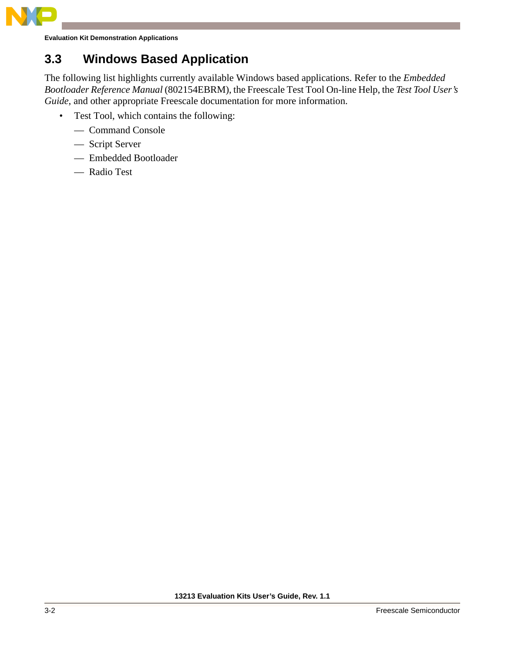

**Evaluation Kit Demonstration Applications**

### <span id="page-17-0"></span>**3.3 Windows Based Application**

The following list highlights currently available Windows based applications. Refer to the *Embedded Bootloader Reference Manual* (802154EBRM), the Freescale Test Tool On-line Help, the *Test Tool User's Guide*, and other appropriate Freescale documentation for more information.

- Test Tool, which contains the following:
	- Command Console
	- Script Server
	- Embedded Bootloader
	- Radio Test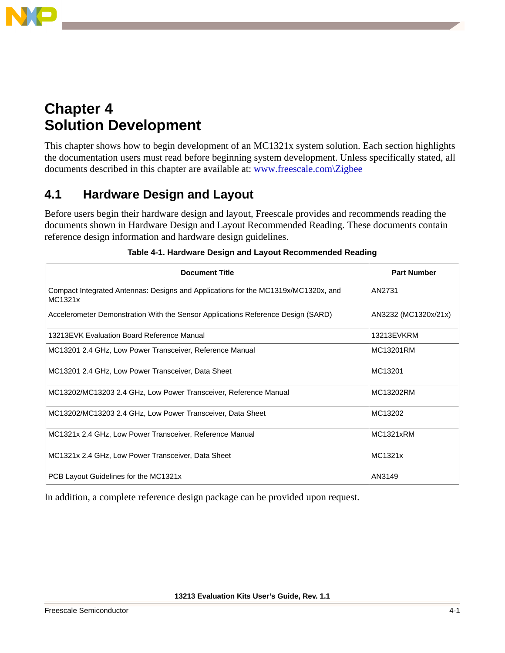

### <span id="page-18-0"></span>**Chapter 4 Solution Development**

This chapter shows how to begin development of an MC1321x system solution. Each section highlights the documentation users must read before beginning system development. Unless specifically stated, all documents described in this chapter are available at: www.freescale.com\Zigbee

### <span id="page-18-1"></span>**4.1 Hardware Design and Layout**

Before users begin their hardware design and layout, Freescale provides and recommends reading the documents shown in Hardware Design and Layout Recommended Reading. These documents contain reference design information and hardware design guidelines.

| <b>Document Title</b>                                                                         | <b>Part Number</b>   |
|-----------------------------------------------------------------------------------------------|----------------------|
| Compact Integrated Antennas: Designs and Applications for the MC1319x/MC1320x, and<br>MC1321x | AN2731               |
| Accelerometer Demonstration With the Sensor Applications Reference Design (SARD)              | AN3232 (MC1320x/21x) |
| 13213EVK Evaluation Board Reference Manual                                                    | 13213EVKRM           |
| MC13201 2.4 GHz, Low Power Transceiver, Reference Manual                                      | MC13201RM            |
| MC13201 2.4 GHz, Low Power Transceiver, Data Sheet                                            | MC13201              |
| MC13202/MC13203 2.4 GHz, Low Power Transceiver, Reference Manual                              | MC13202RM            |
| MC13202/MC13203 2.4 GHz, Low Power Transceiver, Data Sheet                                    | MC13202              |
| MC1321x 2.4 GHz, Low Power Transceiver, Reference Manual                                      | MC1321xRM            |
| MC1321x 2.4 GHz, Low Power Transceiver, Data Sheet                                            | MC1321x              |
| PCB Layout Guidelines for the MC1321x                                                         | AN3149               |

#### **Table 4-1. Hardware Design and Layout Recommended Reading**

In addition, a complete reference design package can be provided upon request.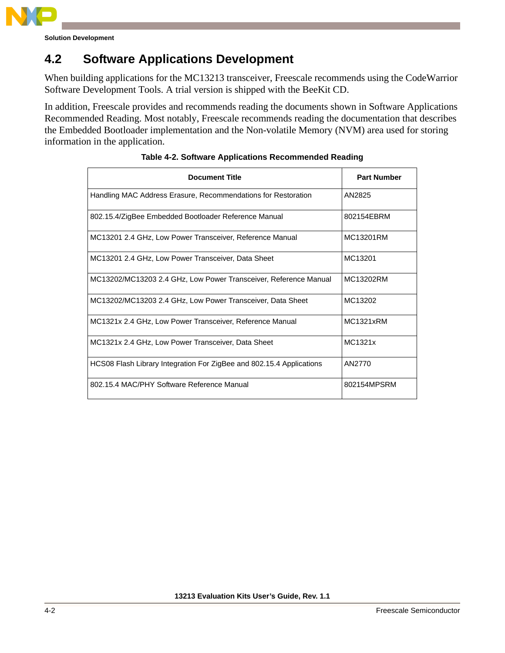

**Solution Development**

### <span id="page-19-0"></span>**4.2 Software Applications Development**

When building applications for the MC13213 transceiver, Freescale recommends using the CodeWarrior Software Development Tools. A trial version is shipped with the BeeKit CD.

In addition, Freescale provides and recommends reading the documents shown in Software Applications Recommended Reading. Most notably, Freescale recommends reading the documentation that describes the Embedded Bootloader implementation and the Non-volatile Memory (NVM) area used for storing information in the application.

| <b>Document Title</b>                                                | <b>Part Number</b> |
|----------------------------------------------------------------------|--------------------|
| Handling MAC Address Erasure, Recommendations for Restoration        | AN2825             |
| 802.15.4/ZigBee Embedded Bootloader Reference Manual                 | 802154FBRM         |
| MC13201 2.4 GHz, Low Power Transceiver, Reference Manual             | MC13201RM          |
| MC13201 2.4 GHz, Low Power Transceiver, Data Sheet                   | MC13201            |
| MC13202/MC13203 2.4 GHz, Low Power Transceiver, Reference Manual     | MC13202RM          |
| MC13202/MC13203 2.4 GHz, Low Power Transceiver, Data Sheet           | MC13202            |
| MC1321x 2.4 GHz, Low Power Transceiver, Reference Manual             | MC1321xRM          |
| MC1321x 2.4 GHz, Low Power Transceiver, Data Sheet                   | MC1321x            |
| HCS08 Flash Library Integration For ZigBee and 802.15.4 Applications | AN2770             |
| 802.15.4 MAC/PHY Software Reference Manual                           | 802154MPSRM        |

**Table 4-2. Software Applications Recommended Reading**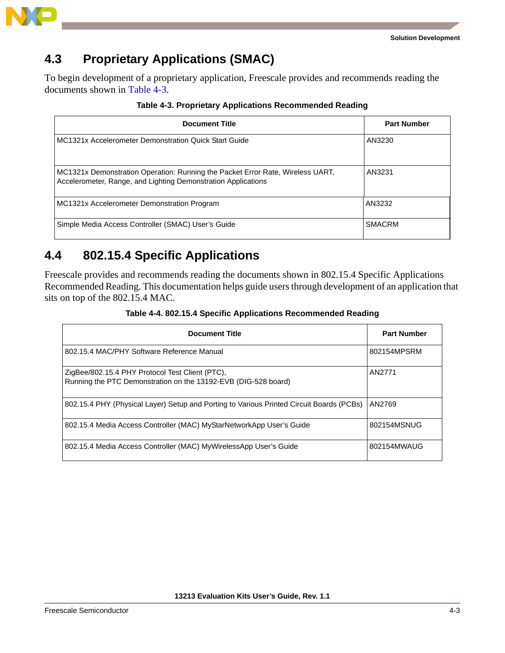

### <span id="page-20-0"></span>**4.3 Proprietary Applications (SMAC)**

To begin development of a proprietary application, Freescale provides and recommends reading the documents shown in [Table 4-3.](#page-20-2)

<span id="page-20-2"></span>

| <b>Document Title</b>                                                                                                                           | <b>Part Number</b> |
|-------------------------------------------------------------------------------------------------------------------------------------------------|--------------------|
| MC1321x Accelerometer Demonstration Quick Start Guide                                                                                           | AN3230             |
| MC1321x Demonstration Operation: Running the Packet Error Rate, Wireless UART,<br>Accelerometer, Range, and Lighting Demonstration Applications | AN3231             |
| MC1321x Accelerometer Demonstration Program                                                                                                     | AN3232             |
| Simple Media Access Controller (SMAC) User's Guide                                                                                              | <b>SMACRM</b>      |

#### **Table 4-3. Proprietary Applications Recommended Reading**

### <span id="page-20-1"></span>**4.4 802.15.4 Specific Applications**

Freescale provides and recommends reading the documents shown in 802.15.4 Specific Applications Recommended Reading. This documentation helps guide users through development of an application that sits on top of the 802.15.4 MAC.

**Table 4-4. 802.15.4 Specific Applications Recommended Reading**

| <b>Document Title</b>                                                                                             | <b>Part Number</b> |
|-------------------------------------------------------------------------------------------------------------------|--------------------|
| 802.15.4 MAC/PHY Software Reference Manual                                                                        | 802154MPSRM        |
| ZigBee/802.15.4 PHY Protocol Test Client (PTC),<br>Running the PTC Demonstration on the 13192-EVB (DIG-528 board) | AN2771             |
| 802.15.4 PHY (Physical Layer) Setup and Porting to Various Printed Circuit Boards (PCBs)                          | AN2769             |
| 802.15.4 Media Access Controller (MAC) MyStarNetworkApp User's Guide                                              | 802154MSNUG        |
| 802.15.4 Media Access Controller (MAC) MyWirelessApp User's Guide                                                 | 802154MWAUG        |